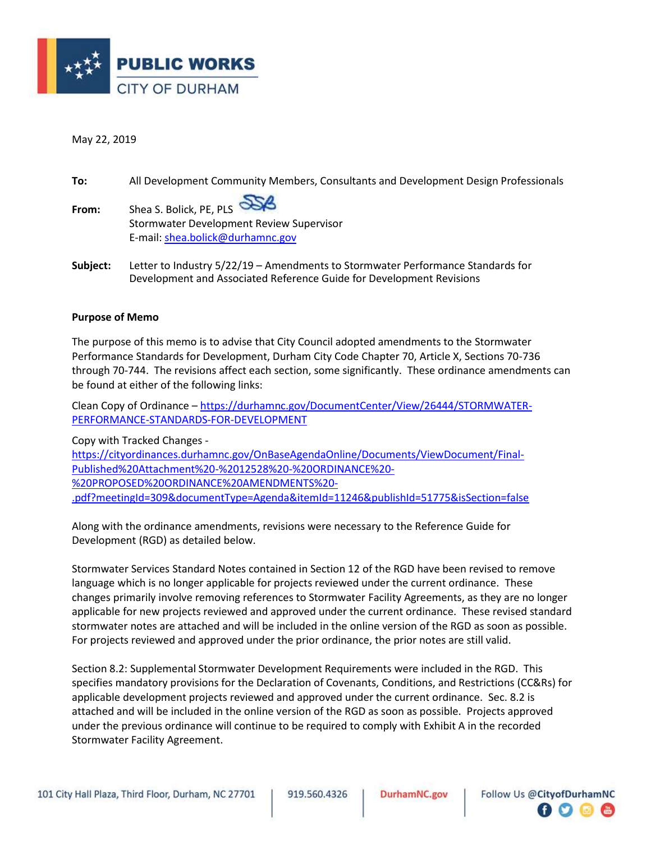

### May 22, 2019

| To:      | All Development Community Members, Consultants and Development Design Professionals                                                                     |
|----------|---------------------------------------------------------------------------------------------------------------------------------------------------------|
| From:    | Shea S. Bolick, PE, PLS<br>Stormwater Development Review Supervisor<br>E-mail: shea.bolick@durhamnc.gov                                                 |
| Subject: | Letter to Industry 5/22/19 - Amendments to Stormwater Performance Standards for<br>Development and Associated Reference Guide for Development Revisions |

#### **Purpose of Memo**

The purpose of this memo is to advise that City Council adopted amendments to the Stormwater Performance Standards for Development, Durham City Code Chapter 70, Article X, Sections 70-736 through 70-744. The revisions affect each section, some significantly. These ordinance amendments can be found at either of the following links:

Clean Copy of Ordinance – [https://durhamnc.gov/DocumentCenter/View/26444/STORMWATER-](https://durhamnc.gov/DocumentCenter/View/26444/STORMWATER-PERFORMANCE-STANDARDS-FOR-DEVELOPMENT)[PERFORMANCE-STANDARDS-FOR-DEVELOPMENT](https://durhamnc.gov/DocumentCenter/View/26444/STORMWATER-PERFORMANCE-STANDARDS-FOR-DEVELOPMENT)

Copy with Tracked Changes -

[https://cityordinances.durhamnc.gov/OnBaseAgendaOnline/Documents/ViewDocument/Final-](https://cityordinances.durhamnc.gov/OnBaseAgendaOnline/Documents/ViewDocument/Final-Published%20Attachment%20-%2012528%20-%20ORDINANCE%20-%20PROPOSED%20ORDINANCE%20AMENDMENTS%20-.pdf?meetingId=309&documentType=Agenda&itemId=11246&publishId=51775&isSection=false)[Published%20Attachment%20-%2012528%20-%20ORDINANCE%20-](https://cityordinances.durhamnc.gov/OnBaseAgendaOnline/Documents/ViewDocument/Final-Published%20Attachment%20-%2012528%20-%20ORDINANCE%20-%20PROPOSED%20ORDINANCE%20AMENDMENTS%20-.pdf?meetingId=309&documentType=Agenda&itemId=11246&publishId=51775&isSection=false) [%20PROPOSED%20ORDINANCE%20AMENDMENTS%20-](https://cityordinances.durhamnc.gov/OnBaseAgendaOnline/Documents/ViewDocument/Final-Published%20Attachment%20-%2012528%20-%20ORDINANCE%20-%20PROPOSED%20ORDINANCE%20AMENDMENTS%20-.pdf?meetingId=309&documentType=Agenda&itemId=11246&publishId=51775&isSection=false) [.pdf?meetingId=309&documentType=Agenda&itemId=11246&publishId=51775&isSection=false](https://cityordinances.durhamnc.gov/OnBaseAgendaOnline/Documents/ViewDocument/Final-Published%20Attachment%20-%2012528%20-%20ORDINANCE%20-%20PROPOSED%20ORDINANCE%20AMENDMENTS%20-.pdf?meetingId=309&documentType=Agenda&itemId=11246&publishId=51775&isSection=false)

Along with the ordinance amendments, revisions were necessary to the Reference Guide for Development (RGD) as detailed below.

Stormwater Services Standard Notes contained in Section 12 of the RGD have been revised to remove language which is no longer applicable for projects reviewed under the current ordinance. These changes primarily involve removing references to Stormwater Facility Agreements, as they are no longer applicable for new projects reviewed and approved under the current ordinance. These revised standard stormwater notes are attached and will be included in the online version of the RGD as soon as possible. For projects reviewed and approved under the prior ordinance, the prior notes are still valid.

Section 8.2: Supplemental Stormwater Development Requirements were included in the RGD. This specifies mandatory provisions for the Declaration of Covenants, Conditions, and Restrictions (CC&Rs) for applicable development projects reviewed and approved under the current ordinance. Sec. 8.2 is attached and will be included in the online version of the RGD as soon as possible. Projects approved under the previous ordinance will continue to be required to comply with Exhibit A in the recorded Stormwater Facility Agreement.

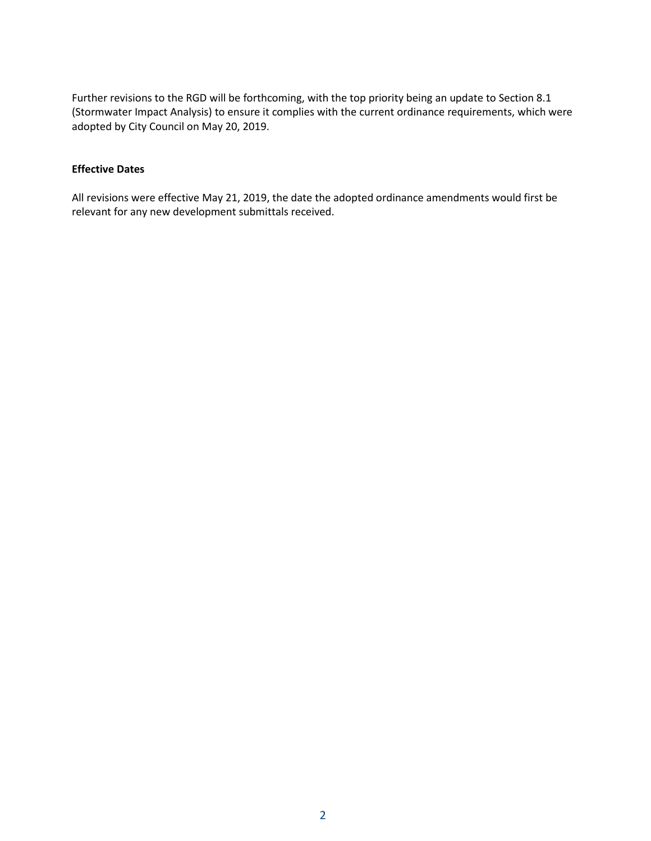Further revisions to the RGD will be forthcoming, with the top priority being an update to Section 8.1 (Stormwater Impact Analysis) to ensure it complies with the current ordinance requirements, which were adopted by City Council on May 20, 2019.

## **Effective Dates**

All revisions were effective May 21, 2019, the date the adopted ordinance amendments would first be relevant for any new development submittals received.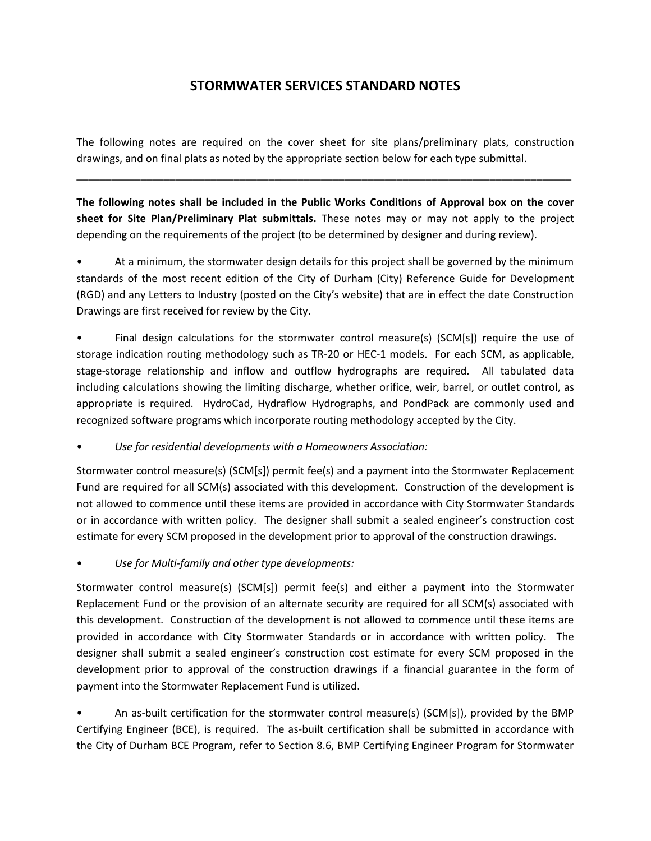# **STORMWATER SERVICES STANDARD NOTES**

The following notes are required on the cover sheet for site plans/preliminary plats, construction drawings, and on final plats as noted by the appropriate section below for each type submittal.

\_\_\_\_\_\_\_\_\_\_\_\_\_\_\_\_\_\_\_\_\_\_\_\_\_\_\_\_\_\_\_\_\_\_\_\_\_\_\_\_\_\_\_\_\_\_\_\_\_\_\_\_\_\_\_\_\_\_\_\_\_\_\_\_\_\_\_\_\_\_\_\_\_\_\_\_\_\_\_\_\_\_\_\_\_

**The following notes shall be included in the Public Works Conditions of Approval box on the cover sheet for Site Plan/Preliminary Plat submittals.** These notes may or may not apply to the project depending on the requirements of the project (to be determined by designer and during review).

• At a minimum, the stormwater design details for this project shall be governed by the minimum standards of the most recent edition of the City of Durham (City) Reference Guide for Development (RGD) and any Letters to Industry (posted on the City's website) that are in effect the date Construction Drawings are first received for review by the City.

Final design calculations for the stormwater control measure(s) (SCM[s]) require the use of storage indication routing methodology such as TR-20 or HEC-1 models. For each SCM, as applicable, stage-storage relationship and inflow and outflow hydrographs are required. All tabulated data including calculations showing the limiting discharge, whether orifice, weir, barrel, or outlet control, as appropriate is required. HydroCad, Hydraflow Hydrographs, and PondPack are commonly used and recognized software programs which incorporate routing methodology accepted by the City.

# • *Use for residential developments with a Homeowners Association:*

Stormwater control measure(s) (SCM[s]) permit fee(s) and a payment into the Stormwater Replacement Fund are required for all SCM(s) associated with this development. Construction of the development is not allowed to commence until these items are provided in accordance with City Stormwater Standards or in accordance with written policy. The designer shall submit a sealed engineer's construction cost estimate for every SCM proposed in the development prior to approval of the construction drawings.

• *Use for Multi-family and other type developments:*

Stormwater control measure(s) (SCM[s]) permit fee(s) and either a payment into the Stormwater Replacement Fund or the provision of an alternate security are required for all SCM(s) associated with this development. Construction of the development is not allowed to commence until these items are provided in accordance with City Stormwater Standards or in accordance with written policy. The designer shall submit a sealed engineer's construction cost estimate for every SCM proposed in the development prior to approval of the construction drawings if a financial guarantee in the form of payment into the Stormwater Replacement Fund is utilized.

• An as-built certification for the stormwater control measure(s) (SCM[s]), provided by the BMP Certifying Engineer (BCE), is required. The as-built certification shall be submitted in accordance with the City of Durham BCE Program, refer to Section 8.6, BMP Certifying Engineer Program for Stormwater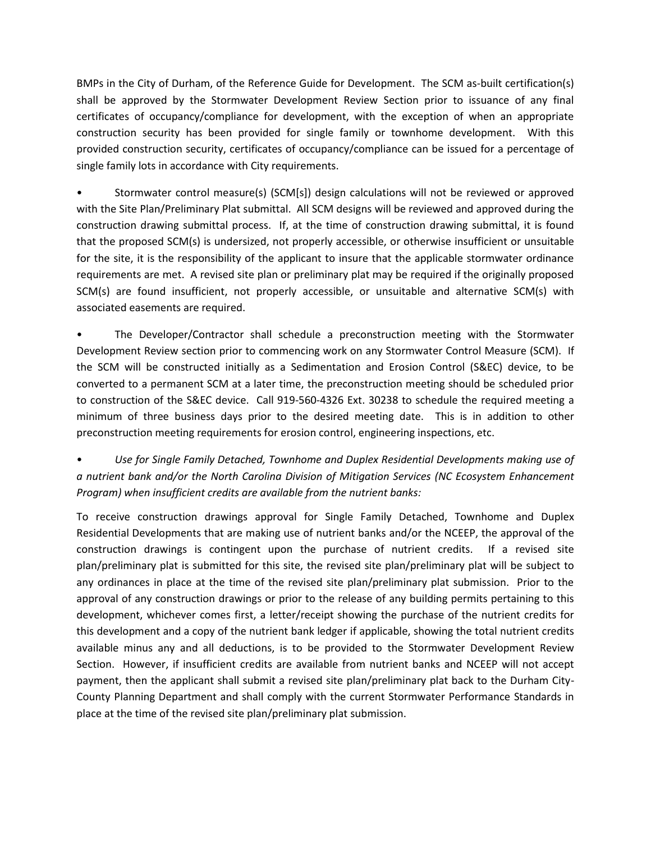BMPs in the City of Durham, of the Reference Guide for Development. The SCM as-built certification(s) shall be approved by the Stormwater Development Review Section prior to issuance of any final certificates of occupancy/compliance for development, with the exception of when an appropriate construction security has been provided for single family or townhome development. With this provided construction security, certificates of occupancy/compliance can be issued for a percentage of single family lots in accordance with City requirements.

• Stormwater control measure(s) (SCM[s]) design calculations will not be reviewed or approved with the Site Plan/Preliminary Plat submittal. All SCM designs will be reviewed and approved during the construction drawing submittal process. If, at the time of construction drawing submittal, it is found that the proposed SCM(s) is undersized, not properly accessible, or otherwise insufficient or unsuitable for the site, it is the responsibility of the applicant to insure that the applicable stormwater ordinance requirements are met. A revised site plan or preliminary plat may be required if the originally proposed SCM(s) are found insufficient, not properly accessible, or unsuitable and alternative SCM(s) with associated easements are required.

• The Developer/Contractor shall schedule a preconstruction meeting with the Stormwater Development Review section prior to commencing work on any Stormwater Control Measure (SCM). If the SCM will be constructed initially as a Sedimentation and Erosion Control (S&EC) device, to be converted to a permanent SCM at a later time, the preconstruction meeting should be scheduled prior to construction of the S&EC device. Call 919-560-4326 Ext. 30238 to schedule the required meeting a minimum of three business days prior to the desired meeting date. This is in addition to other preconstruction meeting requirements for erosion control, engineering inspections, etc.

• *Use for Single Family Detached, Townhome and Duplex Residential Developments making use of a nutrient bank and/or the North Carolina Division of Mitigation Services (NC Ecosystem Enhancement Program) when insufficient credits are available from the nutrient banks:*

To receive construction drawings approval for Single Family Detached, Townhome and Duplex Residential Developments that are making use of nutrient banks and/or the NCEEP, the approval of the construction drawings is contingent upon the purchase of nutrient credits. If a revised site plan/preliminary plat is submitted for this site, the revised site plan/preliminary plat will be subject to any ordinances in place at the time of the revised site plan/preliminary plat submission. Prior to the approval of any construction drawings or prior to the release of any building permits pertaining to this development, whichever comes first, a letter/receipt showing the purchase of the nutrient credits for this development and a copy of the nutrient bank ledger if applicable, showing the total nutrient credits available minus any and all deductions, is to be provided to the Stormwater Development Review Section. However, if insufficient credits are available from nutrient banks and NCEEP will not accept payment, then the applicant shall submit a revised site plan/preliminary plat back to the Durham City-County Planning Department and shall comply with the current Stormwater Performance Standards in place at the time of the revised site plan/preliminary plat submission.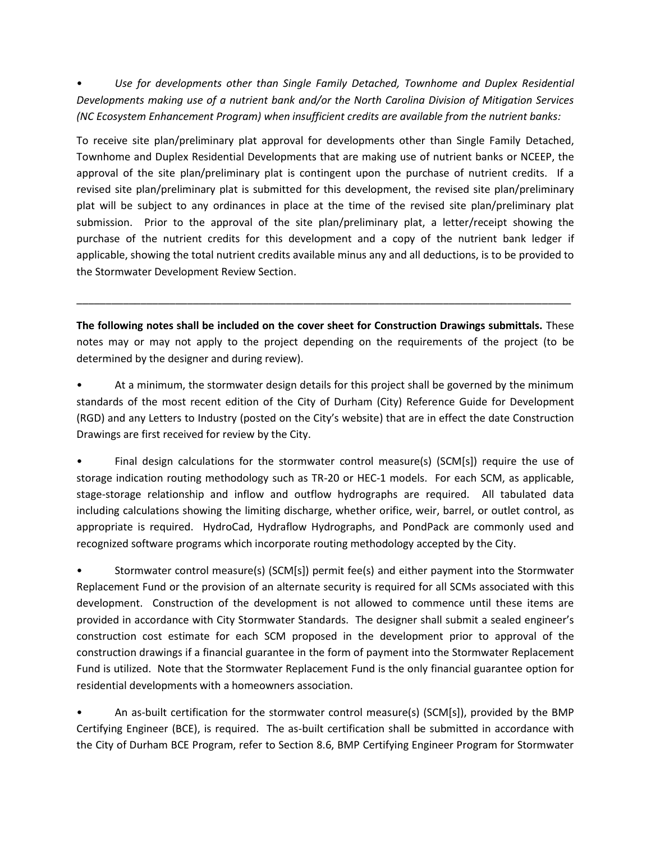• *Use for developments other than Single Family Detached, Townhome and Duplex Residential Developments making use of a nutrient bank and/or the North Carolina Division of Mitigation Services (NC Ecosystem Enhancement Program) when insufficient credits are available from the nutrient banks:*

To receive site plan/preliminary plat approval for developments other than Single Family Detached, Townhome and Duplex Residential Developments that are making use of nutrient banks or NCEEP, the approval of the site plan/preliminary plat is contingent upon the purchase of nutrient credits. If a revised site plan/preliminary plat is submitted for this development, the revised site plan/preliminary plat will be subject to any ordinances in place at the time of the revised site plan/preliminary plat submission. Prior to the approval of the site plan/preliminary plat, a letter/receipt showing the purchase of the nutrient credits for this development and a copy of the nutrient bank ledger if applicable, showing the total nutrient credits available minus any and all deductions, is to be provided to the Stormwater Development Review Section.

**The following notes shall be included on the cover sheet for Construction Drawings submittals.** These notes may or may not apply to the project depending on the requirements of the project (to be determined by the designer and during review).

\_\_\_\_\_\_\_\_\_\_\_\_\_\_\_\_\_\_\_\_\_\_\_\_\_\_\_\_\_\_\_\_\_\_\_\_\_\_\_\_\_\_\_\_\_\_\_\_\_\_\_\_\_\_\_\_\_\_\_\_\_\_\_\_\_\_\_\_\_\_\_\_\_\_\_\_\_\_\_\_\_\_\_\_\_

• At a minimum, the stormwater design details for this project shall be governed by the minimum standards of the most recent edition of the City of Durham (City) Reference Guide for Development (RGD) and any Letters to Industry (posted on the City's website) that are in effect the date Construction Drawings are first received for review by the City.

• Final design calculations for the stormwater control measure(s) (SCM[s]) require the use of storage indication routing methodology such as TR-20 or HEC-1 models. For each SCM, as applicable, stage-storage relationship and inflow and outflow hydrographs are required. All tabulated data including calculations showing the limiting discharge, whether orifice, weir, barrel, or outlet control, as appropriate is required. HydroCad, Hydraflow Hydrographs, and PondPack are commonly used and recognized software programs which incorporate routing methodology accepted by the City.

• Stormwater control measure(s) (SCM[s]) permit fee(s) and either payment into the Stormwater Replacement Fund or the provision of an alternate security is required for all SCMs associated with this development. Construction of the development is not allowed to commence until these items are provided in accordance with City Stormwater Standards. The designer shall submit a sealed engineer's construction cost estimate for each SCM proposed in the development prior to approval of the construction drawings if a financial guarantee in the form of payment into the Stormwater Replacement Fund is utilized. Note that the Stormwater Replacement Fund is the only financial guarantee option for residential developments with a homeowners association.

• An as-built certification for the stormwater control measure(s) (SCM[s]), provided by the BMP Certifying Engineer (BCE), is required. The as-built certification shall be submitted in accordance with the City of Durham BCE Program, refer to Section 8.6, BMP Certifying Engineer Program for Stormwater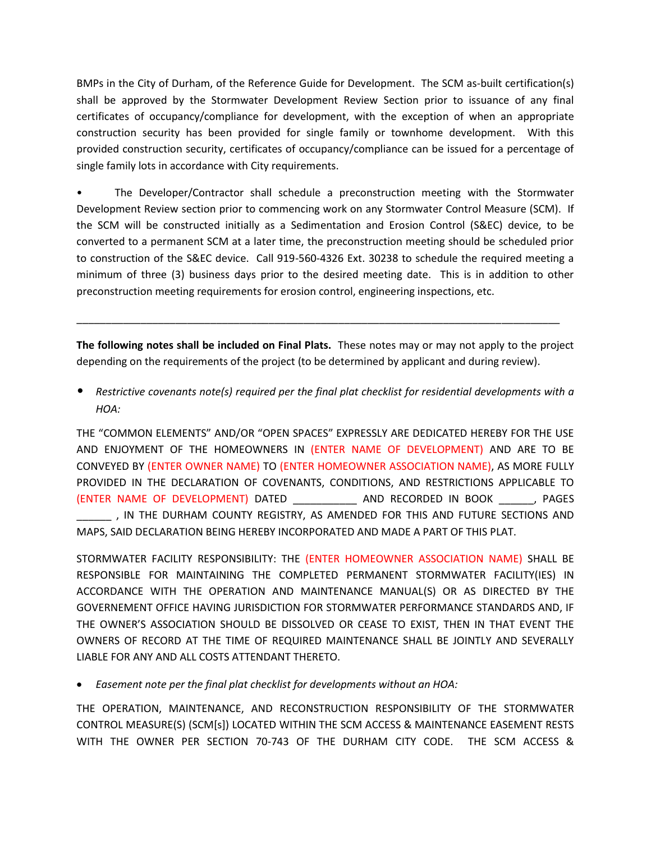BMPs in the City of Durham, of the Reference Guide for Development. The SCM as-built certification(s) shall be approved by the Stormwater Development Review Section prior to issuance of any final certificates of occupancy/compliance for development, with the exception of when an appropriate construction security has been provided for single family or townhome development. With this provided construction security, certificates of occupancy/compliance can be issued for a percentage of single family lots in accordance with City requirements.

• The Developer/Contractor shall schedule a preconstruction meeting with the Stormwater Development Review section prior to commencing work on any Stormwater Control Measure (SCM). If the SCM will be constructed initially as a Sedimentation and Erosion Control (S&EC) device, to be converted to a permanent SCM at a later time, the preconstruction meeting should be scheduled prior to construction of the S&EC device. Call 919-560-4326 Ext. 30238 to schedule the required meeting a minimum of three (3) business days prior to the desired meeting date. This is in addition to other preconstruction meeting requirements for erosion control, engineering inspections, etc.

**The following notes shall be included on Final Plats.** These notes may or may not apply to the project depending on the requirements of the project (to be determined by applicant and during review).

\_\_\_\_\_\_\_\_\_\_\_\_\_\_\_\_\_\_\_\_\_\_\_\_\_\_\_\_\_\_\_\_\_\_\_\_\_\_\_\_\_\_\_\_\_\_\_\_\_\_\_\_\_\_\_\_\_\_\_\_\_\_\_\_\_\_\_\_\_\_\_\_\_\_\_\_\_\_\_\_\_\_\_

• *Restrictive covenants note(s) required per the final plat checklist for residential developments with a HOA:*

THE "COMMON ELEMENTS" AND/OR "OPEN SPACES" EXPRESSLY ARE DEDICATED HEREBY FOR THE USE AND ENJOYMENT OF THE HOMEOWNERS IN (ENTER NAME OF DEVELOPMENT) AND ARE TO BE CONVEYED BY (ENTER OWNER NAME) TO (ENTER HOMEOWNER ASSOCIATION NAME), AS MORE FULLY PROVIDED IN THE DECLARATION OF COVENANTS, CONDITIONS, AND RESTRICTIONS APPLICABLE TO (ENTER NAME OF DEVELOPMENT) DATED \_\_\_\_\_\_\_\_\_\_\_ AND RECORDED IN BOOK \_\_\_\_\_\_, PAGES , IN THE DURHAM COUNTY REGISTRY, AS AMENDED FOR THIS AND FUTURE SECTIONS AND MAPS, SAID DECLARATION BEING HEREBY INCORPORATED AND MADE A PART OF THIS PLAT.

STORMWATER FACILITY RESPONSIBILITY: THE (ENTER HOMEOWNER ASSOCIATION NAME) SHALL BE RESPONSIBLE FOR MAINTAINING THE COMPLETED PERMANENT STORMWATER FACILITY(IES) IN ACCORDANCE WITH THE OPERATION AND MAINTENANCE MANUAL(S) OR AS DIRECTED BY THE GOVERNEMENT OFFICE HAVING JURISDICTION FOR STORMWATER PERFORMANCE STANDARDS AND, IF THE OWNER'S ASSOCIATION SHOULD BE DISSOLVED OR CEASE TO EXIST, THEN IN THAT EVENT THE OWNERS OF RECORD AT THE TIME OF REQUIRED MAINTENANCE SHALL BE JOINTLY AND SEVERALLY LIABLE FOR ANY AND ALL COSTS ATTENDANT THERETO.

*Easement note per the final plat checklist for developments without an HOA:*

THE OPERATION, MAINTENANCE, AND RECONSTRUCTION RESPONSIBILITY OF THE STORMWATER CONTROL MEASURE(S) (SCM[s]) LOCATED WITHIN THE SCM ACCESS & MAINTENANCE EASEMENT RESTS WITH THE OWNER PER SECTION 70-743 OF THE DURHAM CITY CODE. THE SCM ACCESS &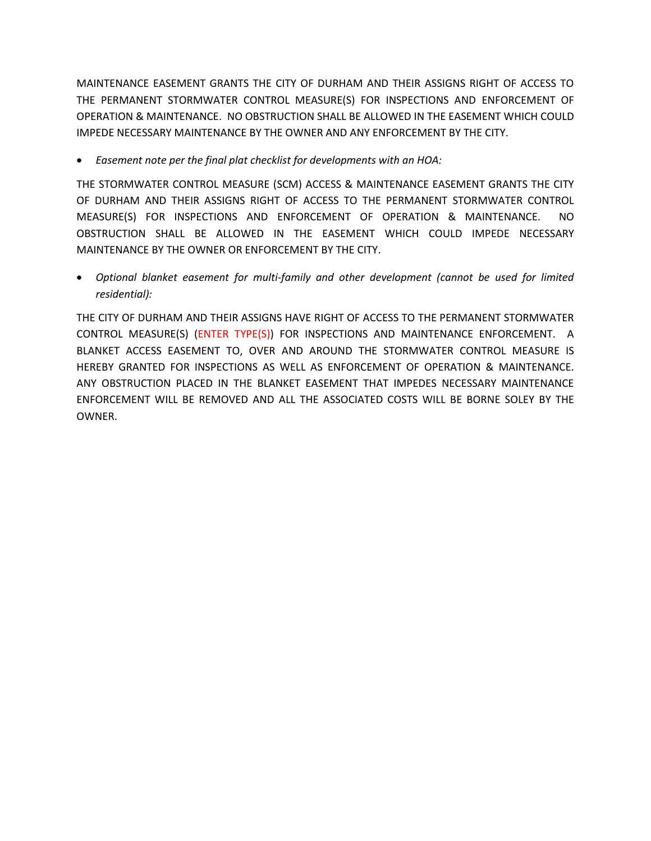MAINTENANCE EASEMENT GRANTS THE CITY OF DURHAM AND THEIR ASSIGNS RIGHT OF ACCESS TO THE PERMANENT STORMWATER CONTROL MEASURE(S) FOR INSPECTIONS AND ENFORCEMENT OF OPERATION & MAINTENANCE. NO OBSTRUCTION SHALL BE ALLOWED IN THE EASEMENT WHICH COULD IMPEDE NECESSARY MAINTENANCE BY THE OWNER AND ANY ENFORCEMENT BY THE CITY.

*Easement note per the final plat checklist for developments with an HOA:*

THE STORMWATER CONTROL MEASURE (SCM) ACCESS & MAINTENANCE EASEMENT GRANTS THE CITY OF DURHAM AND THEIR ASSIGNS RIGHT OF ACCESS TO THE PERMANENT STORMWATER CONTROL MEASURE(S) FOR INSPECTIONS AND ENFORCEMENT OF OPERATION & MAINTENANCE. NO OBSTRUCTION SHALL BE ALLOWED IN THE EASEMENT WHICH COULD IMPEDE NECESSARY MAINTENANCE BY THE OWNER OR ENFORCEMENT BY THE CITY.

 *Optional blanket easement for multi-family and other development (cannot be used for limited residential):*

THE CITY OF DURHAM AND THEIR ASSIGNS HAVE RIGHT OF ACCESS TO THE PERMANENT STORMWATER CONTROL MEASURE(S) (ENTER TYPE(S)) FOR INSPECTIONS AND MAINTENANCE ENFORCEMENT. A BLANKET ACCESS EASEMENT TO, OVER AND AROUND THE STORMWATER CONTROL MEASURE IS HEREBY GRANTED FOR INSPECTIONS AS WELL AS ENFORCEMENT OF OPERATION & MAINTENANCE. ANY OBSTRUCTION PLACED IN THE BLANKET EASEMENT THAT IMPEDES NECESSARY MAINTENANCE ENFORCEMENT WILL BE REMOVED AND ALL THE ASSOCIATED COSTS WILL BE BORNE SOLEY BY THE OWNER.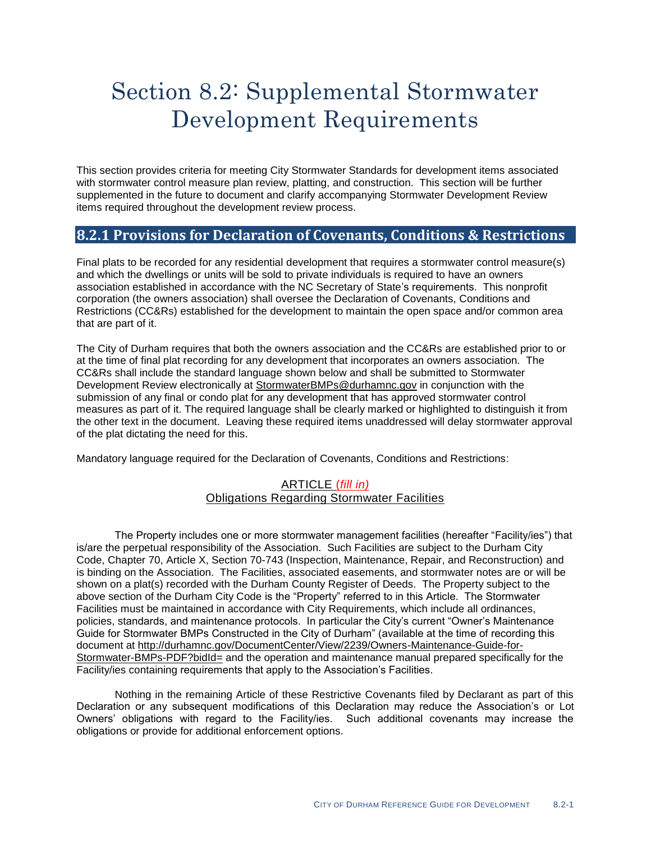# Section 8.2: Supplemental Stormwater Development Requirements

This section provides criteria for meeting City Stormwater Standards for development items associated with stormwater control measure plan review, platting, and construction. This section will be further supplemented in the future to document and clarify accompanying Stormwater Development Review items required throughout the development review process.

# **8.2.1 Provisions for Declaration of Covenants, Conditions & Restrictions**

Final plats to be recorded for any residential development that requires a stormwater control measure(s) and which the dwellings or units will be sold to private individuals is required to have an owners association established in accordance with the NC Secretary of State's requirements. This nonprofit corporation (the owners association) shall oversee the Declaration of Covenants, Conditions and Restrictions (CC&Rs) established for the development to maintain the open space and/or common area that are part of it.

The City of Durham requires that both the owners association and the CC&Rs are established prior to or at the time of final plat recording for any development that incorporates an owners association. The CC&Rs shall include the standard language shown below and shall be submitted to Stormwater Development Review electronically at [StormwaterBMPs@durhamnc.gov](mailto:StormwaterBMPs@durhamnc.gov) in conjunction with the submission of any final or condo plat for any development that has approved stormwater control measures as part of it. The required language shall be clearly marked or highlighted to distinguish it from the other text in the document. Leaving these required items unaddressed will delay stormwater approval of the plat dictating the need for this.

Mandatory language required for the Declaration of Covenants, Conditions and Restrictions:

### ARTICLE (*fill in)* Obligations Regarding Stormwater Facilities

The Property includes one or more stormwater management facilities (hereafter "Facility/ies") that is/are the perpetual responsibility of the Association. Such Facilities are subject to the Durham City Code, Chapter 70, Article X, Section 70-743 (Inspection, Maintenance, Repair, and Reconstruction) and is binding on the Association. The Facilities, associated easements, and stormwater notes are or will be shown on a plat(s) recorded with the Durham County Register of Deeds. The Property subject to the above section of the Durham City Code is the "Property" referred to in this Article. The Stormwater Facilities must be maintained in accordance with City Requirements, which include all ordinances, policies, standards, and maintenance protocols. In particular the City's current "Owner's Maintenance Guide for Stormwater BMPs Constructed in the City of Durham" (available at the time of recording this document at [http://durhamnc.gov/DocumentCenter/View/2239/Owners-Maintenance-Guide-for-](http://durhamnc.gov/DocumentCenter/View/2239/Owners-Maintenance-Guide-for-Stormwater-BMPs-PDF?bidId=)[Stormwater-BMPs-PDF?bidId=](http://durhamnc.gov/DocumentCenter/View/2239/Owners-Maintenance-Guide-for-Stormwater-BMPs-PDF?bidId=) and the operation and maintenance manual prepared specifically for the Facility/ies containing requirements that apply to the Association's Facilities.

Nothing in the remaining Article of these Restrictive Covenants filed by Declarant as part of this Declaration or any subsequent modifications of this Declaration may reduce the Association's or Lot Owners' obligations with regard to the Facility/ies. Such additional covenants may increase the obligations or provide for additional enforcement options.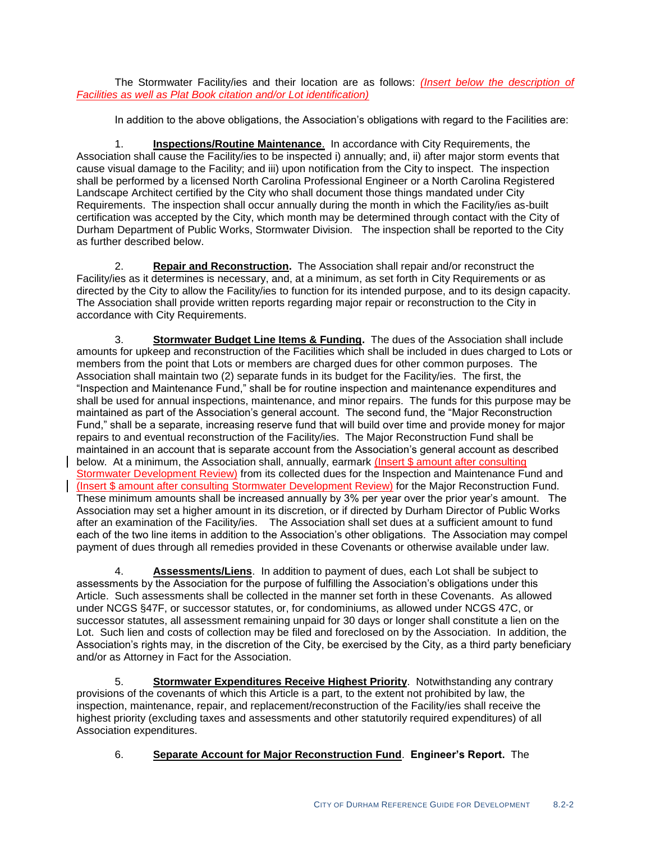The Stormwater Facility/ies and their location are as follows: *(Insert below the description of Facilities as well as Plat Book citation and/or Lot identification)*

In addition to the above obligations, the Association's obligations with regard to the Facilities are:

1. **Inspections/Routine Maintenance**. In accordance with City Requirements, the Association shall cause the Facility/ies to be inspected i) annually; and, ii) after major storm events that cause visual damage to the Facility; and iii) upon notification from the City to inspect. The inspection shall be performed by a licensed North Carolina Professional Engineer or a North Carolina Registered Landscape Architect certified by the City who shall document those things mandated under City Requirements. The inspection shall occur annually during the month in which the Facility/ies as-built certification was accepted by the City, which month may be determined through contact with the City of Durham Department of Public Works, Stormwater Division. The inspection shall be reported to the City as further described below.

2. **Repair and Reconstruction.** The Association shall repair and/or reconstruct the Facility/ies as it determines is necessary, and, at a minimum, as set forth in City Requirements or as directed by the City to allow the Facility/ies to function for its intended purpose, and to its design capacity. The Association shall provide written reports regarding major repair or reconstruction to the City in accordance with City Requirements.

3. **Stormwater Budget Line Items & Funding.** The dues of the Association shall include amounts for upkeep and reconstruction of the Facilities which shall be included in dues charged to Lots or members from the point that Lots or members are charged dues for other common purposes. The Association shall maintain two (2) separate funds in its budget for the Facility/ies. The first, the "Inspection and Maintenance Fund," shall be for routine inspection and maintenance expenditures and shall be used for annual inspections, maintenance, and minor repairs. The funds for this purpose may be maintained as part of the Association's general account. The second fund, the "Major Reconstruction Fund," shall be a separate, increasing reserve fund that will build over time and provide money for major repairs to and eventual reconstruction of the Facility/ies. The Major Reconstruction Fund shall be maintained in an account that is separate account from the Association's general account as described below. At a minimum, the Association shall, annually, earmark (Insert \$ amount after consulting Stormwater Development Review) from its collected dues for the Inspection and Maintenance Fund and (Insert \$ amount after consulting Stormwater Development Review) for the Major Reconstruction Fund. These minimum amounts shall be increased annually by 3% per year over the prior year's amount. The Association may set a higher amount in its discretion, or if directed by Durham Director of Public Works after an examination of the Facility/ies. The Association shall set dues at a sufficient amount to fund each of the two line items in addition to the Association's other obligations. The Association may compel payment of dues through all remedies provided in these Covenants or otherwise available under law.

4. **Assessments/Liens**. In addition to payment of dues, each Lot shall be subject to assessments by the Association for the purpose of fulfilling the Association's obligations under this Article. Such assessments shall be collected in the manner set forth in these Covenants. As allowed under NCGS §47F, or successor statutes, or, for condominiums, as allowed under NCGS 47C, or successor statutes, all assessment remaining unpaid for 30 days or longer shall constitute a lien on the Lot. Such lien and costs of collection may be filed and foreclosed on by the Association. In addition, the Association's rights may, in the discretion of the City, be exercised by the City, as a third party beneficiary and/or as Attorney in Fact for the Association.

5. **Stormwater Expenditures Receive Highest Priority**. Notwithstanding any contrary provisions of the covenants of which this Article is a part, to the extent not prohibited by law, the inspection, maintenance, repair, and replacement/reconstruction of the Facility/ies shall receive the highest priority (excluding taxes and assessments and other statutorily required expenditures) of all Association expenditures.

# 6. **Separate Account for Major Reconstruction Fund**. **Engineer's Report.** The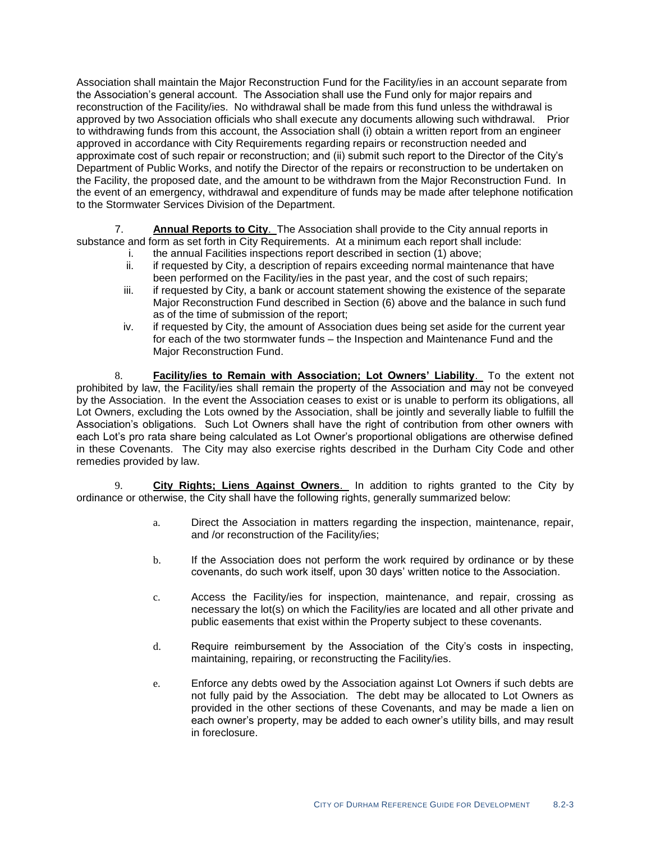Association shall maintain the Major Reconstruction Fund for the Facility/ies in an account separate from the Association's general account. The Association shall use the Fund only for major repairs and reconstruction of the Facility/ies. No withdrawal shall be made from this fund unless the withdrawal is approved by two Association officials who shall execute any documents allowing such withdrawal. Prior to withdrawing funds from this account, the Association shall (i) obtain a written report from an engineer approved in accordance with City Requirements regarding repairs or reconstruction needed and approximate cost of such repair or reconstruction; and (ii) submit such report to the Director of the City's Department of Public Works, and notify the Director of the repairs or reconstruction to be undertaken on the Facility, the proposed date, and the amount to be withdrawn from the Major Reconstruction Fund. In the event of an emergency, withdrawal and expenditure of funds may be made after telephone notification to the Stormwater Services Division of the Department.

7. **Annual Reports to City**. The Association shall provide to the City annual reports in substance and form as set forth in City Requirements. At a minimum each report shall include:

- i. the annual Facilities inspections report described in section (1) above;
	- ii. if requested by City, a description of repairs exceeding normal maintenance that have been performed on the Facility/ies in the past year, and the cost of such repairs;
	- iii. if requested by City, a bank or account statement showing the existence of the separate Major Reconstruction Fund described in Section (6) above and the balance in such fund as of the time of submission of the report;
- iv. if requested by City, the amount of Association dues being set aside for the current year for each of the two stormwater funds – the Inspection and Maintenance Fund and the Major Reconstruction Fund.

8. **Facility/ies to Remain with Association; Lot Owners' Liability**. To the extent not prohibited by law, the Facility/ies shall remain the property of the Association and may not be conveyed by the Association. In the event the Association ceases to exist or is unable to perform its obligations, all Lot Owners, excluding the Lots owned by the Association, shall be jointly and severally liable to fulfill the Association's obligations. Such Lot Owners shall have the right of contribution from other owners with each Lot's pro rata share being calculated as Lot Owner's proportional obligations are otherwise defined in these Covenants. The City may also exercise rights described in the Durham City Code and other remedies provided by law.

9. **City Rights; Liens Against Owners**. In addition to rights granted to the City by ordinance or otherwise, the City shall have the following rights, generally summarized below:

- a. Direct the Association in matters regarding the inspection, maintenance, repair, and /or reconstruction of the Facility/ies;
- b. If the Association does not perform the work required by ordinance or by these covenants, do such work itself, upon 30 days' written notice to the Association.
- c. Access the Facility/ies for inspection, maintenance, and repair, crossing as necessary the lot(s) on which the Facility/ies are located and all other private and public easements that exist within the Property subject to these covenants.
- d. Require reimbursement by the Association of the City's costs in inspecting, maintaining, repairing, or reconstructing the Facility/ies.
- e. Enforce any debts owed by the Association against Lot Owners if such debts are not fully paid by the Association. The debt may be allocated to Lot Owners as provided in the other sections of these Covenants, and may be made a lien on each owner's property, may be added to each owner's utility bills, and may result in foreclosure.